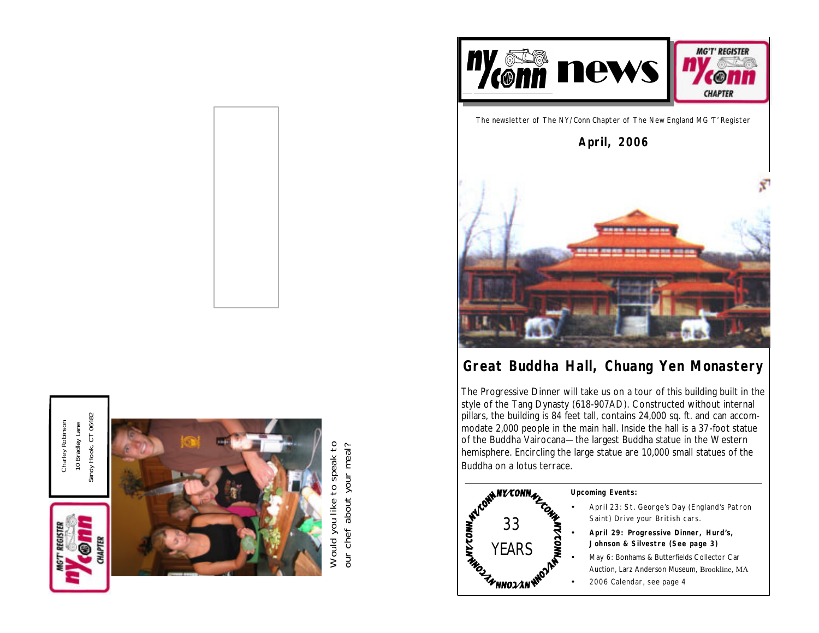

Sandy Hook, CT 06482 Sandy Hook, CT 06482 Charley Robinson Charley Robinson 10 Bradley Lane 10 Bradley Lane



Would you like to speak to Would you like to speak to our chef about your meal? our chef about your meal?



The newsletter of The NY/Conn Chapter of The New England MG 'T' Register

**April, 2006**



# *Great Buddha Hall, Chuang Yen Monastery*

The Progressive Dinner will take us on a tour of this building built in the style of the Tang Dynasty (618-907AD). Constructed without internal pillars, the building is 84 feet tall, contains 24,000 sq. ft. and can accommodate 2,000 people in the main hall. Inside the hall is a 37-foot statue of the Buddha Vairocana—the largest Buddha statue in the Western hemisphere. Encircling the large statue are 10,000 small statues of the Buddha on a lotus terrace.



#### **Upcoming Events:**

- April 23: St. George's Day (England's Patron Saint) Drive your British cars.
- **April 29: Progressive Dinner, Hurd's, Johnson & Silvestre (See page 3)**
- May 6: Bonhams & Butterfields Collector Car Auction, Larz Anderson Museum, Brookline, MA
- 2006 Calendar, see page 4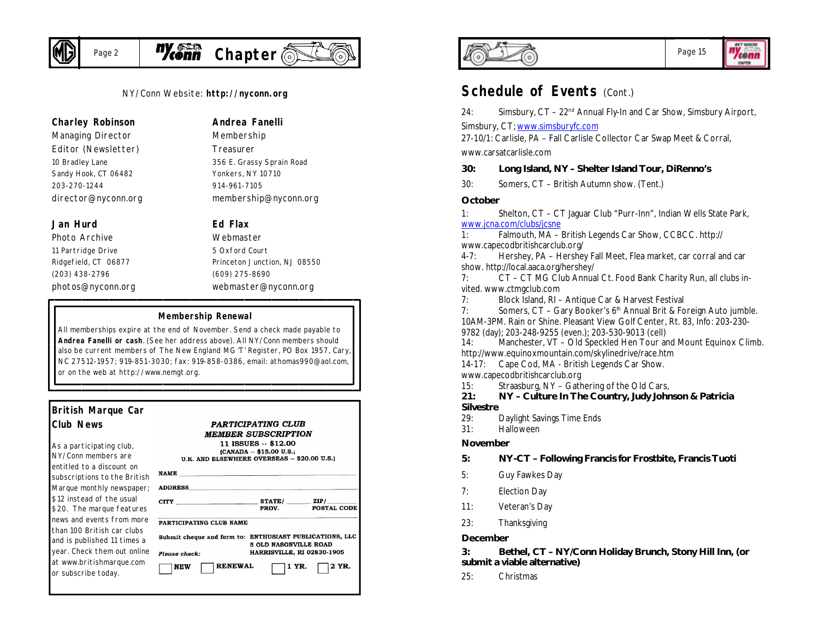

# Page 2 **Myconn** Chapter

NY/Conn Website: **http://nyconn.org**

#### **Charley Robinson**

*Managing Director Editor (Newsletter)* 10 Bradley Lane Sandy Hook, CT 06482 203-270-1244 director@nyconn.org

### **Jan Hurd**

*Photo Archive* 11 Partridge Drive Ridgefield, CT 06877 (203) 438-2796 photos@nyconn.org **Andrea Fanelli**

*Membership Treasurer* 356 E. Grassy Sprain Road Yonkers, NY 10710 914-961-7105 membership@nyconn.org

### **Ed Flax**

*Webmaster* 5 Oxford Court Princeton Junction, NJ 08550 (609) 275-8690 webmaster@nyconn.org

#### **Membership Renewal**

All memberships expire at the end of November. Send a check made payable to **Andrea Fanelli or cash**. (See her address above). All NY/Conn members should also be current members of The New England MG 'T' Register, PO Box 1957, Cary, NC 27512-1957; 919-851-3030; fax: 919-858-0386, email: athomas990@aol.com, or on the web at http://www.nemgt.org.

| British Marque Car                                                           |                                                                                                                                                             |  |  |  |  |
|------------------------------------------------------------------------------|-------------------------------------------------------------------------------------------------------------------------------------------------------------|--|--|--|--|
| <b>Club News</b>                                                             | <b>PARTICIPATING CLUB</b><br><b>MEMBER SUBSCRIPTION</b><br>11 ISSUES -- \$12.00<br>(CANADA -- \$15.00 U.S.;<br>U.K. AND ELSEWHERE OVERSEAS -- \$20.00 U.S.) |  |  |  |  |
| As a participating club,<br>NY/Conn members are<br>entitled to a discount on |                                                                                                                                                             |  |  |  |  |
| subscriptions to the British                                                 | $\mathbf{NAME} \qquad \qquad \qquad \qquad \blacksquare$                                                                                                    |  |  |  |  |
| Marque monthly newspaper;                                                    | <b>ADDRESS</b>                                                                                                                                              |  |  |  |  |
| \$12 instead of the usual<br>\$20. The marque features                       | CITY STATE/ ZIP/<br>POSTAL CODE<br>PROV.                                                                                                                    |  |  |  |  |
| news and events from more                                                    | PARTICIPATING CLUB NAME                                                                                                                                     |  |  |  |  |
| than 100 British car clubs<br>and is published 11 times a                    | Submit cheque and form to: ENTHUSIAST PUBLICATIONS, LLC<br>5 OLD NASONVILLE ROAD                                                                            |  |  |  |  |
| year. Check them out online                                                  | HARRISVILLE, RI 02830-1905<br>Please check:                                                                                                                 |  |  |  |  |
| at www.britishmarque.com<br>or subscribe today.                              | <b>RENEWAL</b><br>2 YR.<br>1 YR.<br><b>NEW</b>                                                                                                              |  |  |  |  |
|                                                                              |                                                                                                                                                             |  |  |  |  |



## Page 15

*BET ENNIS* "Yeonn OWNER

# **Schedule of Events (Cont.)**

24: Simsbury,  $CT - 22^{nd}$  Annual Fly-In and Car Show, Simsbury Airport, Simsbury, CT; www.simsburyfc.com

27-10/1: Carlisle, PA – Fall Carlisle Collector Car Swap Meet & Corral, www.carsatcarlisle.com

#### **30: Long Island, NY – Shelter Island Tour, DiRenno's**

30: Somers, CT – British Autumn show. (Tent.)

#### **October**

1: Shelton, CT – CT Jaguar Club "Purr-Inn", Indian Wells State Park, www.jcna.com/clubs/jcsne

1: Falmouth, MA – British Legends Car Show, CCBCC. http:// www.capecodbritishcarclub.org/

4-7: Hershey, PA – Hershey Fall Meet, Flea market, car corral and car show. http://local.aaca.org/hershey/

7: CT – CT MG Club Annual Ct. Food Bank Charity Run, all clubs invited. www.ctmgclub.com

7: Block Island, RI – Antique Car & Harvest Festival

7: Somers,  $CT - Gary Booker's 6<sup>th</sup> Annual Brit & Foreign Auto jumble.$ 10AM-3PM. Rain or Shine. Pleasant View Golf Center, Rt. 83, Info: 203-230- 9782 (day); 203-248-9255 (even.); 203-530-9013 (cell)

14: Manchester, VT – Old Speckled Hen Tour and Mount Equinox Climb. http://www.equinoxmountain.com/skylinedrive/race.htm

14-17: Cape Cod, MA - British Legends Car Show.

www.capecodbritishcarclub.org

15: Straasburg, NY – Gathering of the Old Cars,

**21: NY – Culture In The Country, Judy Johnson & Patricia Silvestre**

- 29: Daylight Savings Time Ends
- 31: Halloween

#### **November**

### **5: NY-CT – Following Francis for Frostbite, Francis Tuoti**

- 5: Guy Fawkes Day
- 7: Election Day
- 11: Veteran's Day
- 23: Thanksgiving

#### **December**

**3: Bethel, CT – NY/Conn Holiday Brunch, Stony Hill Inn, (or submit a viable alternative)**

25: Christmas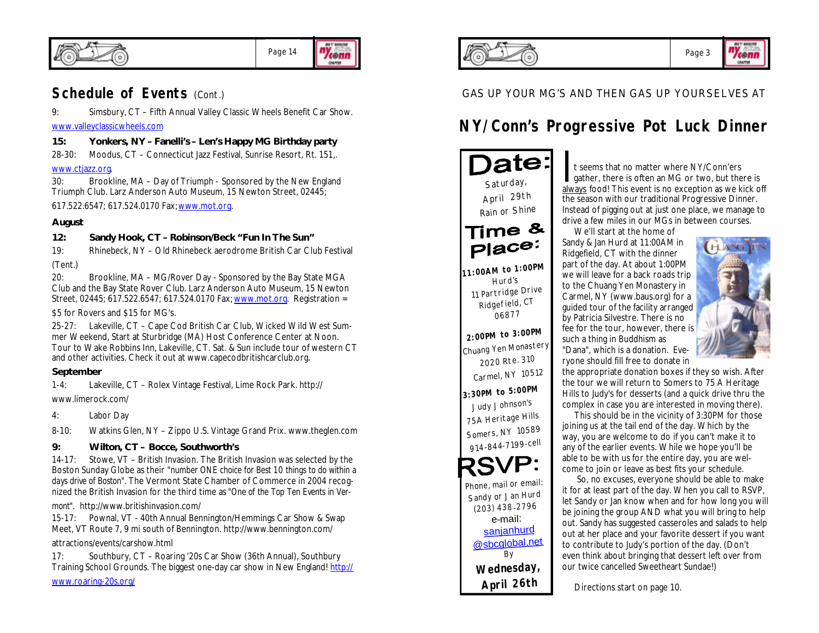

# **Schedule of Events (Cont.)**

9: Simsbury, CT – Fifth Annual Valley Classic Wheels Benefit Car Show. www.valleyclassicwheels.com

## **15: Yonkers, NY – Fanelli's – Len's Happy MG Birthday party**

28-30: Moodus, CT – Connecticut Jazz Festival, Sunrise Resort, Rt. 151,. www.ctjazz.org.

30: Brookline, MA – Day of Triumph - Sponsored by the New England Triumph Club. Larz Anderson Auto Museum, 15 Newton Street, 02445;

617.522.6547; 617.524.0170 Fax; www.mot.org.

### **August**

### **12: Sandy Hook, CT – Robinson/Beck "Fun In The Sun"**

19: Rhinebeck, NY – Old Rhinebeck aerodrome British Car Club Festival (Tent.)

20: Brookline, MA – MG/Rover Day - Sponsored by the Bay State MGA Club and the Bay State Rover Club. Larz Anderson Auto Museum, 15 Newton Street, 02445; 617.522.6547; 617.524.0170 Fax; www.mot.org. Registration =

### \$5 for Rovers and \$15 for MG's.

25-27: Lakeville, CT – Cape Cod British Car Club, Wicked Wild West Summer Weekend, Start at Sturbridge (MA) Host Conference Center at Noon. Tour to Wake Robbins Inn, Lakeville, CT. Sat. & Sun include tour of western CT and other activities. Check it out at www.capecodbritishcarclub.org.

### **September**

1-4: Lakeville, CT – Rolex Vintage Festival, Lime Rock Park. http:// www.limerock.com/

4: Labor Day

8-10: Watkins Glen, NY – Zippo U.S. Vintage Grand Prix. www.theglen.com

## **9: Wilton, CT – Bocce, Southworth's**

14-17: Stowe, VT – British Invasion. The British Invasion was selected by the Boston Sunday Globe as their "*number ONE choice for Best 10 things to do within a days drive of Boston".* The Vermont State Chamber of Commerce in 2004 recognized the British Invasion for the third time as *"One of the Top Ten Events in Ver-*

*mont".* http://www.britishinvasion.com/

15-17: Pownal, VT - 40th Annual Bennington/Hemmings Car Show & Swap Meet, VT Route 7, 9 mi south of Bennington. http://www.bennington.com/

attractions/events/carshow.html

17: Southbury, CT – Roaring '20s Car Show (36th Annual), Southbury Training School Grounds. The biggest one-day car show in New England! http://

www.roaring-20s.org/



## GAS UP YOUR MG'S AND THEN GAS UP YOURSELVES AT

# **NY/Conn's Progressive Pot Luck Dinner**

)ate: *Saturday, April 29th Rain or Shine* Time & Place:

*11:00AM to 1:00PM Hurd's 11 Partridge Drive Ridgefield, CT 06877*

*2:00PM to 3:00PM Chuang Yen Monastery 2020 Rte. <sup>310</sup> Carmel, NY 10512*

*3:30PM to 5:00PM Judy Johnson's 75A Heritage Hills Somers, NY 10589 914-844-7199-cell*

*Phone, mail or email: Sandy or Jan Hurd (203) 438-2796* e-mail: sanjanhurd @sbcglobal.net *By Wednesday, April 26th*

It seems that no matter where NY/Conn'ers<br>gather, there is often an MG or two, but there is<br>always food! This event is no exception as we kick off t seems that no matter where NY/Conn'ers gather, there is often an MG or two, but there is the season with our traditional Progressive Dinner. Instead of pigging out at just one place, we manage to drive a few miles in our MGs in between courses.

 We'll start at the home of Sandy & Jan Hurd at 11:00AM in Ridgefield, CT with the dinner part of the day. At about 1:00PM we will leave for a back roads trip to the Chuang Yen Monastery in Carmel, NY (www.baus.org) for a guided tour of the facility arranged by Patricia Silvestre. There is no fee for the tour, however, there is

such a thing in Buddhism as "Dana", which is a donation. Eve-



ryone should fill free to donate in the appropriate donation boxes if they so wish. After the tour we will return to Somers to 75 A Heritage Hills to Judy's for desserts (and a quick drive thru the complex in case you are interested in moving there).

 This should be in the vicinity of 3:30PM for those joining us at the tail end of the day. Which by the way, you are welcome to do if you can't make it to any of the earlier events. While we hope you'll be able to be with us for the entire day, you are welcome to join or leave as best fits your schedule.

So, no excuses, everyone should be able to make it for at least part of the day. When you call to RSVP, let Sandy or Jan know when and for how long you will be joining the group AND what you will bring to help out. Sandy has suggested casseroles and salads to help out at her place and your favorite dessert if you want to contribute to Judy's portion of the day. (Don't even think about bringing that dessert left over from our twice cancelled Sweetheart Sundae!)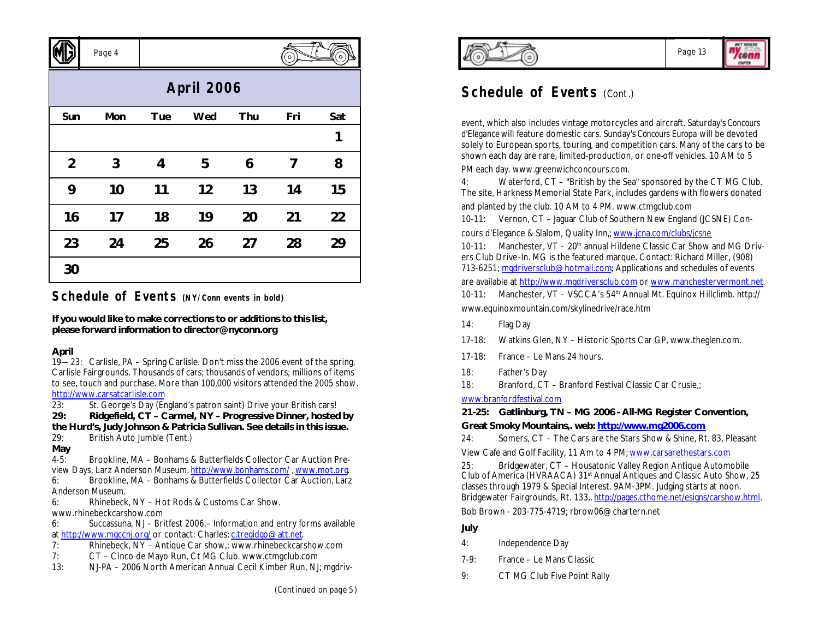|                   | Page 4 |            |     |     | $\circ$ | ์ o |  |
|-------------------|--------|------------|-----|-----|---------|-----|--|
| <b>April 2006</b> |        |            |     |     |         |     |  |
| Sun               | Mon    | <b>Tue</b> | Wed | Thu | Fri     | Sat |  |
|                   |        |            |     |     |         | 1   |  |
| $\overline{2}$    | 3      | 4          | 5   | 6   | 7       | 8   |  |
| 9                 | 10     | 11         | 12  | 13  | 14      | 15  |  |
| 16                | 17     | 18         | 19  | 20  | 21      | 22  |  |
| 23                | 24     | 25         | 26  | 27  | 28      | 29  |  |
| 30                |        |            |     |     |         |     |  |

# **Schedule of Events (NY/Conn events in bold)**

**If you would like to make corrections to or additions to this list, please forward information to director@nyconn.org**

### **April**

 $\sqrt{N}$ 

19—23: Carlisle, PA – Spring Carlisle. Don't miss the 2006 event of the spring, Carlisle Fairgrounds. Thousands of cars; thousands of vendors; millions of items to see, touch and purchase. More than 100,000 visitors attended the 2005 show. http://www.carsatcarlisle.com<br>23: St. George's Day (Er

St. George's Day (England's patron saint) Drive your British cars!

**29: Ridgefield, CT – Carmel, NY – Progressive Dinner, hosted by the Hurd's, Judy Johnson & Patricia Sullivan. See details in this issue.**

- 29: British Auto Jumble (Tent.)
- **May**

4-5: Brookline, MA – Bonhams & Butterfields Collector Car Auction Preview Days, Larz Anderson Museum. http://www.bonhams.com/ , www.mot.org.

6: Brookline, MA – Bonhams & Butterfields Collector Car Auction, Larz Anderson Museum.

6: Rhinebeck, NY – Hot Rods & Customs Car Show.

www.rhinebeckcarshow.com

6: Succassuna, NJ – Britfest 2006,– Information and entry forms available at http://www.maccni.org/ or contact: Charles: c.tregidgo@att.net.

- 7: Rhinebeck, NY Antique Car show,; www.rhinebeckcarshow.com
- 7: CT Cinco de Mayo Run, Ct MG Club. www.ctmgclub.com
- 13: NJ-PA 2006 North American Annual Cecil Kimber Run, NJ; mgdriv-





# **Schedule of Events (Cont.)**

event, which also includes vintage motorcycles and aircraft. Saturday's *Concours d'Elegance* will feature domestic cars. Sunday's *Concours Europa* will be devoted solely to European sports, touring, and competition cars. Many of the cars to be shown each day are rare, limited-production, or one-off vehicles. 10 AM to 5

PM each day. www.greenwichconcours.com.

4: Waterford, CT – "British by the Sea" sponsored by the CT MG Club. The site, Harkness Memorial State Park, includes gardens with flowers donated

and planted by the club. 10 AM to 4 PM. www.ctmgclub.com

10-11: Vernon, CT – Jaguar Club of Southern New England (JCSNE) Con-

cours d'Elegance & Slalom, Quality Inn,; www.jcna.com/clubs/jcsne

10-11: Manchester, VT - 20<sup>th</sup> annual Hildene Classic Car Show and MG Drivers Club Drive-In. MG is the featured marque. Contact: Richard Miller, (908) 713-6251; mgdriversclub@hotmail.com; Applications and schedules of events

are available at http://www.mgdriversclub.com or www.manchestervermont.net.

10-11: Manchester, VT - VSCCA's 54<sup>th</sup> Annual Mt. Equinox Hillclimb. http:// www.equinoxmountain.com/skylinedrive/race.htm

- 14: Flag Day
- 17-18: Watkins Glen, NY Historic Sports Car GP, www.theglen.com.
- 17-18: France Le Mans 24 hours.
- 18: Father's Day
- 18: Branford, CT Branford Festival Classic Car Crusie,;

## www.branfordfestival.com

## **21-25: Gatlinburg, TN – MG 2006 - All-MG Register Convention,**

## **Great Smoky Mountains,. web: http://www.mg2006.com**

24: Somers, CT – The Cars are the Stars Show & Shine, Rt. 83, Pleasant View Cafe and Golf Facility, 11 Am to 4 PM; www.carsarethestars.com

25: Bridgewater, CT – Housatonic Valley Region Antique Automobile Club of America (HVRAACA) 31st Annual Antiques and Classic Auto Show, 25 classes through 1979 & Special Interest. 9AM-3PM. Judging starts at noon. Bridgewater Fairgrounds, Rt. 133,. http://pages.cthome.net/esigns/carshow.html.

Bob Brown - 203-775-4719; rbrow06@chartern.net

## **July**

- 4: Independence Day
- 7-9: France Le Mans Classic
- 9: CT MG Club Five Point Rally

 $\sim$   $\sim$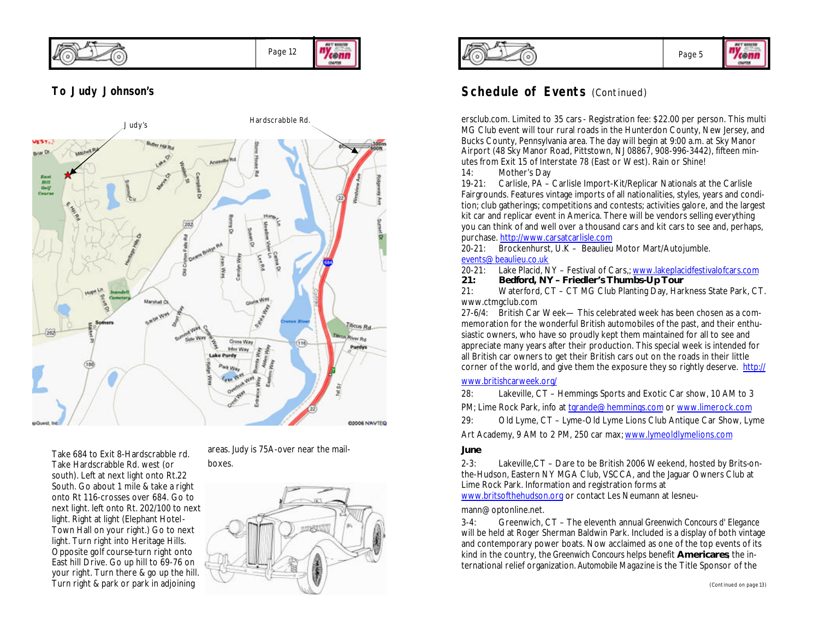*BET ENNIS* "Yeonn Page 12 OWNER

## **To Judy Johnson's**



Take 684 to Exit 8-Hardscrabble rd. Take Hardscrabble Rd. west (or south). Left at next light onto Rt.22 South. Go about 1 mile & take a right onto Rt 116-crosses over 684. Go to next light. left onto Rt. 202/100 to next light. Right at light (Elephant Hotel-Town Hall on your right.) Go to next light. Turn right into Heritage Hills. Opposite golf course-turn right onto East hill Drive. Go up hill to 69-76 on your right. Turn there & go up the hill. Turn right & park or park in adjoining

areas. Judy is 75A-over near the mailboxes.







# **Schedule of Events** (Continued)

ersclub.com. Limited to 35 cars - Registration fee: \$22.00 per person. This multi MG Club event will tour rural roads in the Hunterdon County, New Jersey, and Bucks County, Pennsylvania area. The day will begin at 9:00 a.m. at Sky Manor Airport (48 Sky Manor Road, Pittstown, NJ 08867, 908-996-3442), fifteen minutes from Exit 15 of Interstate 78 (East or West). Rain or Shine!

14: Mother's Day

19-21: Carlisle, PA – Carlisle Import-Kit/Replicar Nationals at the Carlisle Fairgrounds. Features vintage imports of all nationalities, styles, years and condition; club gatherings; competitions and contests; activities galore, and the largest kit car and replicar event in America. There will be vendors selling everything you can think of and well over a thousand cars and kit cars to see and, perhaps, purchase. http://www.carsatcarlisle.com

20-21: Brockenhurst, U.K – Beaulieu Motor Mart/Autojumble. events@beaulieu.co.uk

- 20-21: Lake Placid, NY Festival of Cars,; www.lakeplacidfestivalofcars.com
- **21: Bedford, NY Friedler's Thumbs-Up Tour**

21: Waterford, CT – CT MG Club Planting Day, Harkness State Park, CT. www.ctmgclub.com

27-6/4: British Car Week— This celebrated week has been chosen as a commemoration for the wonderful British automobiles of the past, and their enthusiastic owners, who have so proudly kept them maintained for all to see and appreciate many years after their production. This special week is intended for all British car owners to get their British cars out on the roads in their little corner of the world, and give them the exposure they so rightly deserve. http://

### www.britishcarweek.org/

28: Lakeville, CT – Hemmings Sports and Exotic Car show, 10 AM to 3

PM; Lime Rock Park, info at tgrande@hemmings.com or www.limerock.com

29: Old Lyme, CT – Lyme-Old Lyme Lions Club Antique Car Show, Lyme

Art Academy, 9 AM to 2 PM, 250 car max; www.lymeoldlymelions.com

### **June**

2-3: Lakeville,CT – Dare to be British 2006 Weekend, hosted by Brits-onthe-Hudson, Eastern NY MGA Club, VSCCA, and the Jaguar Owners Club at Lime Rock Park. Information and registration forms at

www.britsofthehudson.org or contact Les Neumann at lesneu-

### mann@optonline.net.

3-4: Greenwich, CT – The eleventh annual *Greenwich Concours d' Elegance* will be held at Roger Sherman Baldwin Park. Included is a display of both vintage and contemporary power boats. Now acclaimed as one of the top events of its kind in the country, the *Greenwich Concours* helps benefit **Americares**, the international relief organization. *Automobile Magazine* is the Title Sponsor of the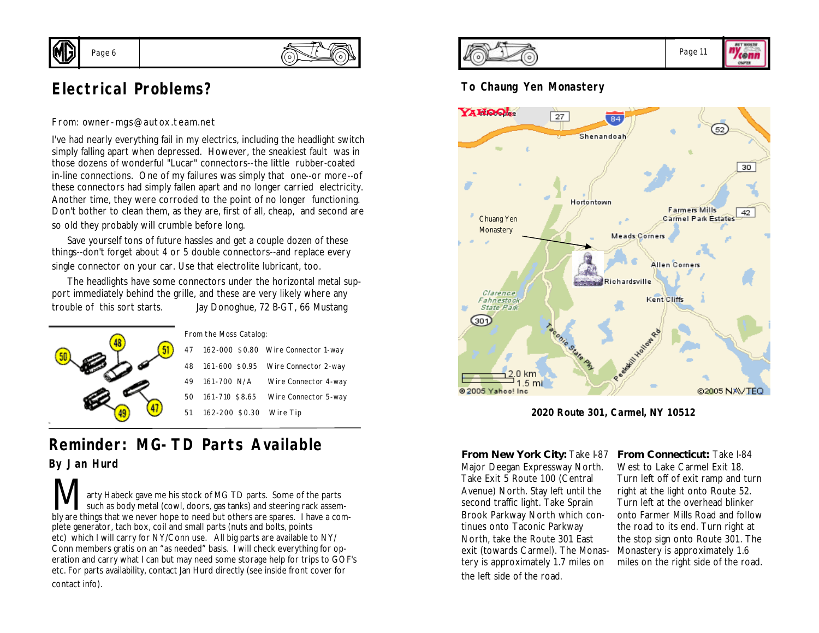

# **Electrical Problems?**

From: owner-mgs@autox.team.net

I've had nearly everything fail in my electrics, including the headlight switch simply falling apart when depressed. However, the sneakiest fault was in those dozens of wonderful "Lucar" connectors--the little rubber-coated in-line connections. One of my failures was simply that one--or more--of these connectors had simply fallen apart and no longer carried electricity. Another time, they were corroded to the point of no longer functioning. Don't bother to clean them, as they are, first of all, cheap, and second are so old they probably will crumble before long.

 Save yourself tons of future hassles and get a couple dozen of these things--don't forget about 4 or 5 double connectors--and replace every single connector on your car. Use that electrolite lubricant, too.

 The headlights have some connectors under the horizontal metal support immediately behind the grille, and these are very likely where any trouble of this sort starts. Jay Donoghue, 72 B-GT, 66 Mustang



# **Reminder: MG-TD Parts Available** *By Jan Hurd*

**Marty Habeck gave me his stock of MG TD parts. Some of the parts** such as body metal (cowl, doors, gas tanks) and steering rack assem-<br>bly are things that we never bone to need but others are spares. I have a combly are things that we never hope to need but others are spares. I have a complete generator, tach box, coil and small parts (nuts and bolts, points etc) which I will carry for NY/Conn use. All big parts are available to NY/ Conn members gratis on an "as needed" basis. I will check everything for operation and carry what I can but may need some storage help for trips to GOF's etc. For parts availability, contact Jan Hurd directly (see inside front cover for contact info).



## **To Chaung Yen Monastery**



**2020 Route 301, Carmel, NY 10512**

**From New York City: Take I-87** Major Deegan Expressway North. Take Exit 5 Route 100 (Central Avenue) North. Stay left until the second traffic light. Take Sprain Brook Parkway North which continues onto Taconic Parkway North, take the Route 301 East exit (towards Carmel). The Monastery is approximately 1.7 miles on the left side of the road.

**From Connecticut:** Take I-84 West to Lake Carmel Exit 18. Turn left off of exit ramp and turn right at the light onto Route 52. Turn left at the overhead blinker onto Farmer Mills Road and follow the road to its end. Turn right at the stop sign onto Route 301. The Monastery is approximately 1.6 miles on the right side of the road.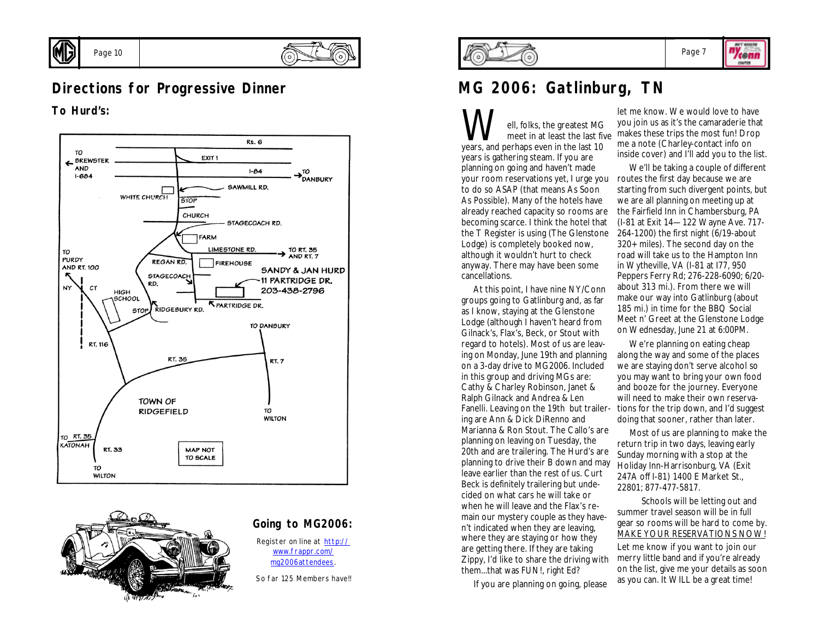



# **Directions for Progressive Dinner**

**To Hurd's:**

Page 10





### **Going to MG2006:**

Register on line at http:// www.frappr.com/ mg2006attendees.

So far 125 Members have!!



### Page 7

ny<sub>cenn</sub> OWNER

# **MG 2006: Gatlinburg, TN**

**W**ell, folks, the greatest MG<br>years, and perhaps even in the last 10 meet in at least the last five years is gathering steam. If you are planning on going and haven't made your room reservations yet, I urge you to do so ASAP (that means As Soon As Possible). Many of the hotels have already reached capacity so rooms are becoming scarce. I think the hotel that the T Register is using (The Glenstone Lodge) is completely booked now, although it wouldn't hurt to check anyway. There may have been some cancellations.

 At this point, I have nine NY/Conn groups going to Gatlinburg and, as far as I know, staying at the Glenstone Lodge (although I haven't heard from Gilnack's, Flax's, Beck, or Stout with regard to hotels). Most of us are leaving on Monday, June 19th and planning on a 3-day drive to MG2006. Included in this group and driving MGs are: Cathy & Charley Robinson, Janet & Ralph Gilnack and Andrea & Len ing are Ann & Dick DiRenno and Marianna & Ron Stout. The Callo's are planning on leaving on Tuesday, the 20th and are trailering. The Hurd's are planning to drive their B down and may leave earlier than the rest of us. Curt Beck is definitely trailering but undecided on what cars he will take or when he will leave and the Flax's remain our mystery couple as they haven't indicated when they are leaving, where they are staying or how they are getting there. If they are taking Zippy, I'd like to share the driving with them...that was FUN!, right Ed?

If you are planning on going, please

let me know. We would love to have you join us as it's the camaraderie that makes these trips the most fun! Drop me a note (Charley-contact info on inside cover) and I'll add you to the list.

 We'll be taking a couple of different routes the first day because we are starting from such divergent points, but we are all planning on meeting up at the Fairfield Inn in Chambersburg, PA (I-81 at Exit 14—122 Wayne Ave. 717- 264-1200) the first night (6/19-about 320+ miles). The second day on the road will take us to the Hampton Inn in Wytheville, VA (I-81 at I77, 950 Peppers Ferry Rd; 276-228-6090; 6/20 about 313 mi.). From there we will make our way into Gatlinburg (about 185 mi.) in time for the BBQ Social Meet n' Greet at the Glenstone Lodge on Wednesday, June 21 at 6:00PM.

Fanelli. Leaving on the 19th but trailer-tions for the trip down, and I'd suggest We're planning on eating cheap along the way and some of the places we are staying don't serve alcohol so you may want to bring your own food and booze for the journey. Everyone will need to make their own reservadoing that sooner, rather than later.

> Most of us are planning to make the return trip in two days, leaving early Sunday morning with a stop at the Holiday Inn-Harrisonburg, VA (Exit 247A off I-81) 1400 E Market St., 22801; 877-477-5817.

 Schools will be letting out and summer travel season will be in full gear so rooms will be hard to come by. MAKE YOUR RESERVATIONS NOW!

Let me know if you want to join our merry little band and if you're already on the list, give me your details as soon as you can. It WILL be a great time!